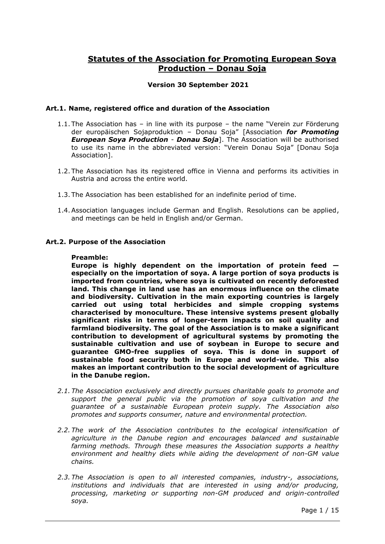# **Statutes of the Association for Promoting European Soya Production – Donau Soja**

## **Version 30 September 2021**

### **Art.1. Name, registered office and duration of the Association**

- 1.1. The Association has in line with its purpose the name "Verein zur Förderung der europäischen Sojaproduktion – Donau Soja" [Association *for Promoting European Soya Production* - *Donau Soja*]. The Association will be authorised to use its name in the abbreviated version: "Verein Donau Soja" [Donau Soja Association].
- 1.2. The Association has its registered office in Vienna and performs its activities in Austria and across the entire world.
- 1.3. The Association has been established for an indefinite period of time.
- 1.4.Association languages include German and English. Resolutions can be applied, and meetings can be held in English and/or German.

#### **Art.2. Purpose of the Association**

#### **Preamble:**

**Europe is highly dependent on the importation of protein feed especially on the importation of soya. A large portion of soya products is imported from countries, where soya is cultivated on recently deforested land. This change in land use has an enormous influence on the climate and biodiversity. Cultivation in the main exporting countries is largely carried out using total herbicides and simple cropping systems characterised by monoculture. These intensive systems present globally significant risks in terms of longer-term impacts on soil quality and farmland biodiversity. The goal of the Association is to make a significant contribution to development of agricultural systems by promoting the sustainable cultivation and use of soybean in Europe to secure and guarantee GMO-free supplies of soya. This is done in support of sustainable food security both in Europe and world-wide. This also makes an important contribution to the social development of agriculture in the Danube region.** 

- *2.1. The Association exclusively and directly pursues charitable goals to promote and support the general public via the promotion of soya cultivation and the guarantee of a sustainable European protein supply. The Association also promotes and supports consumer, nature and environmental protection.*
- *2.2. The work of the Association contributes to the ecological intensification of agriculture in the Danube region and encourages balanced and sustainable farming methods. Through these measures the Association supports a healthy environment and healthy diets while aiding the development of non-GM value chains.*
- *2.3. The Association is open to all interested companies, industry-, associations, institutions and individuals that are interested in using and/or producing, processing, marketing or supporting non-GM produced and origin-controlled soya.*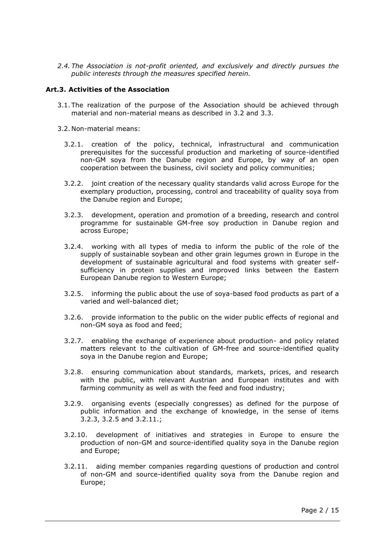*2.4. The Association is not-profit oriented, and exclusively and directly pursues the public interests through the measures specified herein.* 

#### **Art.3. Activities of the Association**

- 3.1. The realization of the purpose of the Association should be achieved through material and non-material means as described in [3.2](#page-1-0) and [3.3.](#page-2-0)
- <span id="page-1-3"></span><span id="page-1-2"></span><span id="page-1-1"></span><span id="page-1-0"></span>3.2. Non-material means:
	- 3.2.1. creation of the policy, technical, infrastructural and communication prerequisites for the successful production and marketing of source-identified non-GM soya from the Danube region and Europe, by way of an open cooperation between the business, civil society and policy communities;
	- 3.2.2. joint creation of the necessary quality standards valid across Europe for the exemplary production, processing, control and traceability of quality soya from the Danube region and Europe;
	- 3.2.3. development, operation and promotion of a breeding, research and control programme for sustainable GM-free soy production in Danube region and across Europe;
	- 3.2.4. working with all types of media to inform the public of the role of the supply of sustainable soybean and other grain legumes grown in Europe in the development of sustainable agricultural and food systems with greater selfsufficiency in protein supplies and improved links between the Eastern European Danube region to Western Europe;
	- 3.2.5. informing the public about the use of soya-based food products as part of a varied and well-balanced diet;
	- 3.2.6. provide information to the public on the wider public effects of regional and non-GM soya as food and feed;
	- 3.2.7. enabling the exchange of experience about production- and policy related matters relevant to the cultivation of GM-free and source-identified quality soya in the Danube region and Europe;
	- 3.2.8. ensuring communication about standards, markets, prices, and research with the public, with relevant Austrian and European institutes and with farming community as well as with the feed and food industry;
	- 3.2.9. organising events (especially congresses) as defined for the purpose of public information and the exchange of knowledge, in the sense of items [3.2.3,](#page-1-1) [3.2.5](#page-1-2) and [3.2.11.](#page-1-3);
	- 3.2.10. development of initiatives and strategies in Europe to ensure the production of non-GM and source-identified quality soya in the Danube region and Europe;
	- 3.2.11. aiding member companies regarding questions of production and control of non-GM and source-identified quality soya from the Danube region and Europe;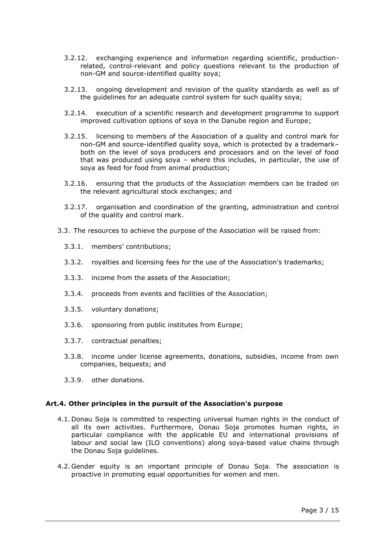- 3.2.12. exchanging experience and information regarding scientific, productionrelated, control-relevant and policy questions relevant to the production of non-GM and source-identified quality soya;
- 3.2.13. ongoing development and revision of the quality standards as well as of the guidelines for an adequate control system for such quality soya;
- 3.2.14. execution of a scientific research and development programme to support improved cultivation options of soya in the Danube region and Europe;
- 3.2.15. licensing to members of the Association of a quality and control mark for non-GM and source-identified quality soya, which is protected by a trademark– both on the level of soya producers and processors and on the level of food that was produced using soya – where this includes, in particular, the use of soya as feed for food from animal production;
- 3.2.16. ensuring that the products of the Association members can be traded on the relevant agricultural stock exchanges; and
- 3.2.17. organisation and coordination of the granting, administration and control of the quality and control mark.
- <span id="page-2-0"></span>3.3. The resources to achieve the purpose of the Association will be raised from:
	- 3.3.1. members' contributions;
	- 3.3.2. royalties and licensing fees for the use of the Association's trademarks;
	- 3.3.3. income from the assets of the Association;
	- 3.3.4. proceeds from events and facilities of the Association;
	- 3.3.5. voluntary donations;
	- 3.3.6. sponsoring from public institutes from Europe;
	- 3.3.7. contractual penalties;
	- 3.3.8. income under license agreements, donations, subsidies, income from own companies, bequests; and
	- 3.3.9. other donations.

#### <span id="page-2-1"></span>**Art.4. Other principles in the pursuit of the Association's purpose**

- 4.1. Donau Soja is committed to respecting universal human rights in the conduct of all its own activities. Furthermore, Donau Soja promotes human rights, in particular compliance with the applicable EU and international provisions of labour and social law (ILO conventions) along soya-based value chains through the Donau Soja guidelines.
- 4.2. Gender equity is an important principle of Donau Soja. The association is proactive in promoting equal opportunities for women and men.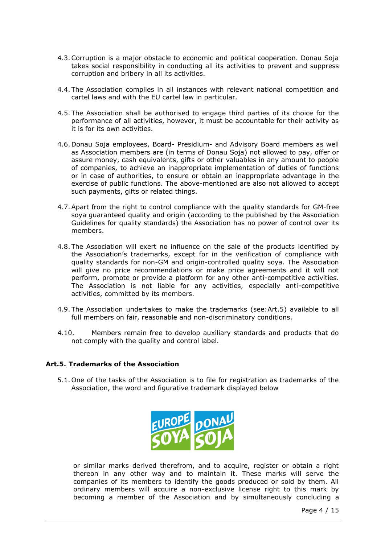- 4.3.Corruption is a major obstacle to economic and political cooperation. Donau Soja takes social responsibility in conducting all its activities to prevent and suppress corruption and bribery in all its activities.
- 4.4. The Association complies in all instances with relevant national competition and cartel laws and with the EU cartel law in particular.
- 4.5. The Association shall be authorised to engage third parties of its choice for the performance of all activities, however, it must be accountable for their activity as it is for its own activities.
- 4.6. Donau Soja employees, Board- Presidium- and Advisory Board members as well as Association members are (in terms of Donau Soja) not allowed to pay, offer or assure money, cash equivalents, gifts or other valuables in any amount to people of companies, to achieve an inappropriate implementation of duties of functions or in case of authorities, to ensure or obtain an inappropriate advantage in the exercise of public functions. The above-mentioned are also not allowed to accept such payments, gifts or related things.
- 4.7.Apart from the right to control compliance with the quality standards for GM-free soya guaranteed quality and origin (according to the published by the Association Guidelines for quality standards) the Association has no power of control over its members.
- 4.8. The Association will exert no influence on the sale of the products identified by the Association's trademarks, except for in the verification of compliance with quality standards for non-GM and origin-controlled quality soya. The Association will give no price recommendations or make price agreements and it will not perform, promote or provide a platform for any other anti-competitive activities. The Association is not liable for any activities, especially anti-competitive activities, committed by its members.
- 4.9. The Association undertakes to make the trademarks (see[:Art.5\)](#page-3-0) available to all full members on fair, reasonable and non-discriminatory conditions.
- 4.10. Members remain free to develop auxiliary standards and products that do not comply with the quality and control label.

#### <span id="page-3-0"></span>**Art.5. Trademarks of the Association**

5.1. One of the tasks of the Association is to file for registration as trademarks of the Association, the word and figurative trademark displayed below



or similar marks derived therefrom, and to acquire, register or obtain a right thereon in any other way and to maintain it. These marks will serve the companies of its members to identify the goods produced or sold by them. All ordinary members will acquire a non-exclusive license right to this mark by becoming a member of the Association and by simultaneously concluding a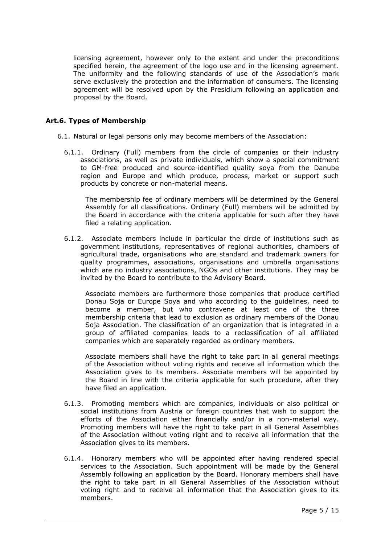licensing agreement, however only to the extent and under the preconditions specified herein, the agreement of the logo use and in the licensing agreement. The uniformity and the following standards of use of the Association's mark serve exclusively the protection and the information of consumers. The licensing agreement will be resolved upon by the Presidium following an application and proposal by the Board.

### **Art.6. Types of Membership**

- <span id="page-4-0"></span>6.1. Natural or legal persons only may become members of the Association:
	- 6.1.1. Ordinary (Full) members from the circle of companies or their industry associations, as well as private individuals, which show a special commitment to GM-free produced and source-identified quality soya from the Danube region and Europe and which produce, process, market or support such products by concrete or non-material means.

The membership fee of ordinary members will be determined by the General Assembly for all classifications. Ordinary (Full) members will be admitted by the Board in accordance with the criteria applicable for such after they have filed a relating application.

6.1.2. Associate members include in particular the circle of institutions such as government institutions, representatives of regional authorities, chambers of agricultural trade, organisations who are standard and trademark owners for quality programmes, associations, organisations and umbrella organisations which are no industry associations, NGOs and other institutions. They may be invited by the Board to contribute to the Advisory Board.

Associate members are furthermore those companies that produce certified Donau Soja or Europe Soya and who according to the guidelines, need to become a member, but who contravene at least one of the three membership criteria that lead to exclusion as ordinary members of the Donau Soja Association. The classification of an organization that is integrated in a group of affiliated companies leads to a reclassification of all affiliated companies which are separately regarded as ordinary members.

Associate members shall have the right to take part in all general meetings of the Association without voting rights and receive all information which the Association gives to its members. Associate members will be appointed by the Board in line with the criteria applicable for such procedure, after they have filed an application.

- 6.1.3. Promoting members which are companies, individuals or also political or social institutions from Austria or foreign countries that wish to support the efforts of the Association either financially and/or in a non-material way. Promoting members will have the right to take part in all General Assemblies of the Association without voting right and to receive all information that the Association gives to its members.
- 6.1.4. Honorary members who will be appointed after having rendered special services to the Association. Such appointment will be made by the General Assembly following an application by the Board. Honorary members shall have the right to take part in all General Assemblies of the Association without voting right and to receive all information that the Association gives to its members.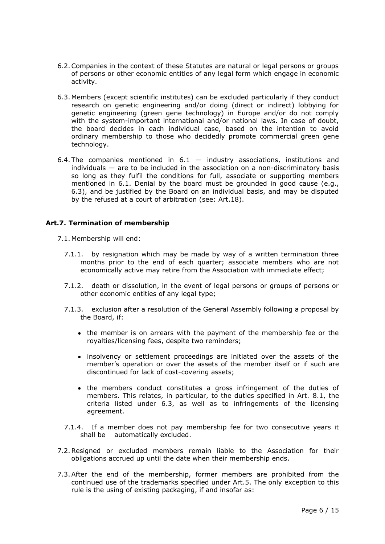- 6.2.Companies in the context of these Statutes are natural or legal persons or groups of persons or other economic entities of any legal form which engage in economic activity.
- <span id="page-5-0"></span>6.3. Members (except scientific institutes) can be excluded particularly if they conduct research on genetic engineering and/or doing (direct or indirect) lobbying for genetic engineering (green gene technology) in Europe and/or do not comply with the system-important international and/or national laws. In case of doubt, the board decides in each individual case, based on the intention to avoid ordinary membership to those who decidedly promote commercial green gene technology.
- 6.4. The companies mentioned in  $6.1 6.1 -$  industry associations, institutions and individuals — are to be included in the association on a non-discriminatory basis so long as they fulfil the conditions for full, associate or supporting members mentioned in [6.1.](#page-4-0) Denial by the board must be grounded in good cause (e.g., [6.3\)](#page-5-0), and be justified by the Board on an individual basis, and may be disputed by the refused at a court of arbitration (see: [Art.18\)](#page-14-0).

### **Art.7. Termination of membership**

- 7.1. Membership will end:
	- 7.1.1. by resignation which may be made by way of a written termination three months prior to the end of each quarter; associate members who are not economically active may retire from the Association with immediate effect;
	- 7.1.2. death or dissolution, in the event of legal persons or groups of persons or other economic entities of any legal type;
	- 7.1.3. exclusion after a resolution of the General Assembly following a proposal by the Board, if:
		- the member is on arrears with the payment of the membership fee or the royalties/licensing fees, despite two reminders;
		- insolvency or settlement proceedings are initiated over the assets of the member's operation or over the assets of the member itself or if such are discontinued for lack of cost-covering assets;
		- the members conduct constitutes a gross infringement of the duties of members. This relates, in particular, to the duties specified in Art. [8.1,](#page-6-0) the criteria listed under [6.3,](#page-5-0) as well as to infringements of the licensing agreement.
	- 7.1.4. If a member does not pay membership fee for two consecutive years it shall be automatically excluded.
- 7.2.Resigned or excluded members remain liable to the Association for their obligations accrued up until the date when their membership ends.
- 7.3.After the end of the membership, former members are prohibited from the continued use of the trademarks specified under [Art.5.](#page-3-0) The only exception to this rule is the using of existing packaging, if and insofar as: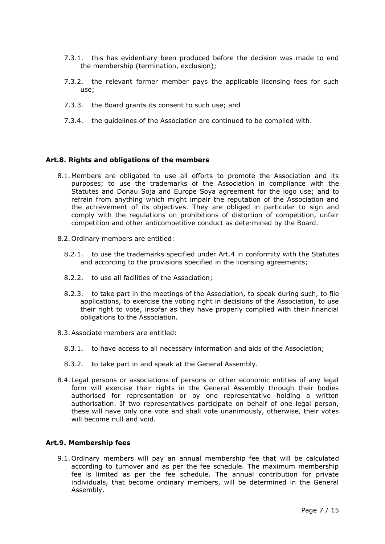- 7.3.1. this has evidentiary been produced before the decision was made to end the membership (termination, exclusion);
- 7.3.2. the relevant former member pays the applicable licensing fees for such use;
- 7.3.3. the Board grants its consent to such use; and
- 7.3.4. the guidelines of the Association are continued to be complied with.

#### **Art.8. Rights and obligations of the members**

- <span id="page-6-0"></span>8.1. Members are obligated to use all efforts to promote the Association and its purposes; to use the trademarks of the Association in compliance with the Statutes and Donau Soja and Europe Soya agreement for the logo use; and to refrain from anything which might impair the reputation of the Association and the achievement of its objectives. They are obliged in particular to sign and comply with the regulations on prohibitions of distortion of competition, unfair competition and other anticompetitive conduct as determined by the Board.
- 8.2. Ordinary members are entitled:
	- 8.2.1. to use the trademarks specified under [Art.4](#page-2-1) in conformity with the Statutes and according to the provisions specified in the licensing agreements;
	- 8.2.2. to use all facilities of the Association;
	- 8.2.3. to take part in the meetings of the Association, to speak during such, to file applications, to exercise the voting right in decisions of the Association, to use their right to vote, insofar as they have properly complied with their financial obligations to the Association.
- 8.3.Associate members are entitled:
	- 8.3.1. to have access to all necessary information and aids of the Association;
	- 8.3.2. to take part in and speak at the General Assembly.
- 8.4. Legal persons or associations of persons or other economic entities of any legal form will exercise their rights in the General Assembly through their bodies authorised for representation or by one representative holding a written authorisation. If two representatives participate on behalf of one legal person, these will have only one vote and shall vote unanimously, otherwise, their votes will become null and void.

### **Art.9. Membership fees**

9.1. Ordinary members will pay an annual membership fee that will be calculated according to turnover and as per the fee schedule. The maximum membership fee is limited as per the fee schedule. The annual contribution for private individuals, that become ordinary members, will be determined in the General Assembly.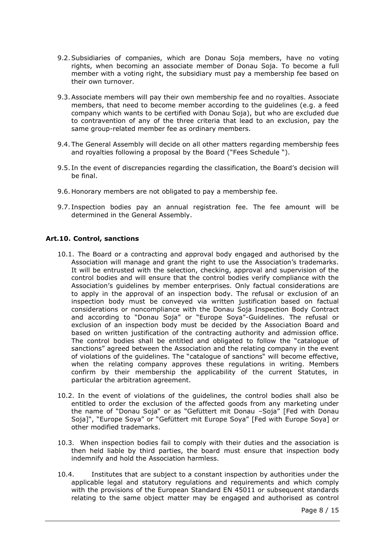- 9.2.Subsidiaries of companies, which are Donau Soja members, have no voting rights, when becoming an associate member of Donau Soja. To become a full member with a voting right, the subsidiary must pay a membership fee based on their own turnover.
- 9.3.Associate members will pay their own membership fee and no royalties. Associate members, that need to become member according to the guidelines (e.g. a feed company which wants to be certified with Donau Soja), but who are excluded due to contravention of any of the three criteria that lead to an exclusion, pay the same group-related member fee as ordinary members.
- 9.4. The General Assembly will decide on all other matters regarding membership fees and royalties following a proposal by the Board ("Fees Schedule ").
- 9.5. In the event of discrepancies regarding the classification, the Board's decision will be final.
- 9.6. Honorary members are not obligated to pay a membership fee.
- 9.7. Inspection bodies pay an annual registration fee. The fee amount will be determined in the General Assembly.

### **Art.10. Control, sanctions**

- 10.1. The Board or a contracting and approval body engaged and authorised by the Association will manage and grant the right to use the Association's trademarks. It will be entrusted with the selection, checking, approval and supervision of the control bodies and will ensure that the control bodies verify compliance with the Association's guidelines by member enterprises. Only factual considerations are to apply in the approval of an inspection body. The refusal or exclusion of an inspection body must be conveyed via written justification based on factual considerations or noncompliance with the Donau Soja Inspection Body Contract and according to "Donau Soja" or "Europe Soya"-Guidelines. The refusal or exclusion of an inspection body must be decided by the Association Board and based on written justification of the contracting authority and admission office. The control bodies shall be entitled and obligated to follow the "catalogue of sanctions" agreed between the Association and the relating company in the event of violations of the guidelines. The "catalogue of sanctions" will become effective, when the relating company approves these regulations in writing. Members confirm by their membership the applicability of the current Statutes, in particular the arbitration agreement.
- 10.2. In the event of violations of the guidelines, the control bodies shall also be entitled to order the exclusion of the affected goods from any marketing under the name of "Donau Soja" or as "Gefüttert mit Donau –Soja" [Fed with Donau Soja]", "Europe Soya" or "Gefüttert mit Europe Soya" [Fed with Europe Soya] or other modified trademarks.
- <span id="page-7-0"></span>10.3. When inspection bodies fail to comply with their duties and the association is then held liable by third parties, the board must ensure that inspection body indemnify and hold the Association harmless.
- 10.4. Institutes that are subject to a constant inspection by authorities under the applicable legal and statutory regulations and requirements and which comply with the provisions of the European Standard EN 45011 or subsequent standards relating to the same object matter may be engaged and authorised as control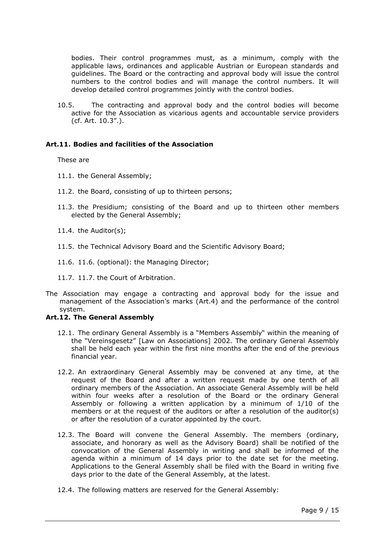bodies. Their control programmes must, as a minimum, comply with the applicable laws, ordinances and applicable Austrian or European standards and guidelines. The Board or the contracting and approval body will issue the control numbers to the control bodies and will manage the control numbers. It will develop detailed control programmes jointly with the control bodies.

10.5. The contracting and approval body and the control bodies will become active for the Association as vicarious agents and accountable service providers (cf. Art. [10.3](#page-7-0)".).

### **Art.11. Bodies and facilities of the Association**

These are

- 11.1. the General Assembly;
- 11.2. the Board, consisting of up to thirteen persons;
- 11.3. the Presidium; consisting of the Board and up to thirteen other members elected by the General Assembly;
- 11.4. the Auditor(s);
- 11.5. the Technical Advisory Board and the Scientific Advisory Board;
- 11.6. 11.6. (optional): the Managing Director;
- 11.7. 11.7. the Court of Arbitration.
- The Association may engage a contracting and approval body for the issue and management of the Association's marks ([Art.4\)](#page-2-1) and the performance of the control system.

#### **Art.12. The General Assembly**

- 12.1. The ordinary General Assembly is a "Members Assembly" within the meaning of the "Vereinsgesetz" [Law on Associations] 2002. The ordinary General Assembly shall be held each year within the first nine months after the end of the previous financial year.
- 12.2. An extraordinary General Assembly may be convened at any time, at the request of the Board and after a written request made by one tenth of all ordinary members of the Association. An associate General Assembly will be held within four weeks after a resolution of the Board or the ordinary General Assembly or following a written application by a minimum of 1/10 of the members or at the request of the auditors or after a resolution of the auditor(s) or after the resolution of a curator appointed by the court.
- 12.3. The Board will convene the General Assembly. The members (ordinary, associate, and honorary as well as the Advisory Board) shall be notified of the convocation of the General Assembly in writing and shall be informed of the agenda within a minimum of 14 days prior to the date set for the meeting. Applications to the General Assembly shall be filed with the Board in writing five days prior to the date of the General Assembly, at the latest.
- <span id="page-8-0"></span>12.4. The following matters are reserved for the General Assembly: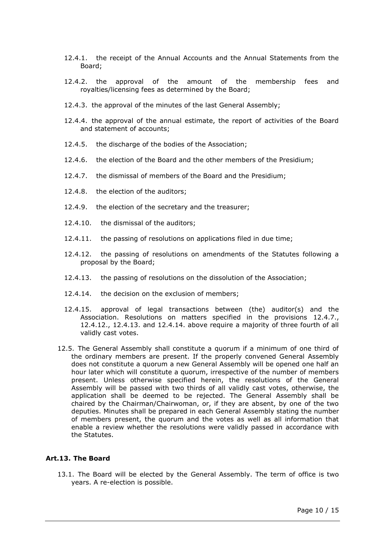- 12.4.1. the receipt of the Annual Accounts and the Annual Statements from the Board;
- 12.4.2. the approval of the amount of the membership fees and royalties/licensing fees as determined by the Board;
- 12.4.3. the approval of the minutes of the last General Assembly;
- 12.4.4. the approval of the annual estimate, the report of activities of the Board and statement of accounts;
- 12.4.5. the discharge of the bodies of the Association;
- 12.4.6. the election of the Board and the other members of the Presidium;
- <span id="page-9-0"></span>12.4.7. the dismissal of members of the Board and the Presidium;
- 12.4.8. the election of the auditors;
- 12.4.9. the election of the secretary and the treasurer;
- 12.4.10. the dismissal of the auditors;
- 12.4.11. the passing of resolutions on applications filed in due time;
- <span id="page-9-1"></span>12.4.12. the passing of resolutions on amendments of the Statutes following a proposal by the Board;
- <span id="page-9-2"></span>12.4.13. the passing of resolutions on the dissolution of the Association;
- <span id="page-9-3"></span>12.4.14. the decision on the exclusion of members;
- 12.4.15. approval of legal transactions between (the) auditor(s) and the Association. Resolutions on matters specified in the provisions [12.4.7.](#page-9-0), [12.4.12.](#page-9-1), [12.4.13.](#page-9-2) and [12.4.14.](#page-9-3) above require a majority of three fourth of all validly cast votes.
- 12.5. The General Assembly shall constitute a quorum if a minimum of one third of the ordinary members are present. If the properly convened General Assembly does not constitute a quorum a new General Assembly will be opened one half an hour later which will constitute a quorum, irrespective of the number of members present. Unless otherwise specified herein, the resolutions of the General Assembly will be passed with two thirds of all validly cast votes, otherwise, the application shall be deemed to be rejected. The General Assembly shall be chaired by the Chairman/Chairwoman, or, if they are absent, by one of the two deputies. Minutes shall be prepared in each General Assembly stating the number of members present, the quorum and the votes as well as all information that enable a review whether the resolutions were validly passed in accordance with the Statutes.

#### **Art.13. The Board**

13.1. The Board will be elected by the General Assembly. The term of office is two years. A re-election is possible.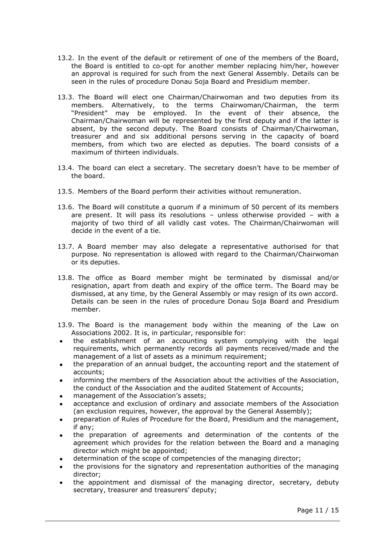- 13.2. In the event of the default or retirement of one of the members of the Board, the Board is entitled to co-opt for another member replacing him/her, however an approval is required for such from the next General Assembly. Details can be seen in the rules of procedure Donau Soja Board and Presidium member.
- 13.3. The Board will elect one Chairman/Chairwoman and two deputies from its members. Alternatively, to the terms Chairwoman/Chairman, the term "President" may be employed. In the event of their absence, the Chairman/Chairwoman will be represented by the first deputy and if the latter is absent, by the second deputy. The Board consists of Chairman/Chairwoman, treasurer and and six additional persons serving in the capacity of board members, from which two are elected as deputies. The board consists of a maximum of thirteen individuals.
- 13.4. The board can elect a secretary. The secretary doesn't have to be member of the board.
- 13.5. Members of the Board perform their activities without remuneration.
- 13.6. The Board will constitute a quorum if a minimum of 50 percent of its members are present. It will pass its resolutions – unless otherwise provided – with a majority of two third of all validly cast votes. The Chairman/Chairwoman will decide in the event of a tie.
- 13.7. A Board member may also delegate a representative authorised for that purpose. No representation is allowed with regard to the Chairman/Chairwoman or its deputies.
- 13.8. The office as Board member might be terminated by dismissal and/or resignation, apart from death and expiry of the office term. The Board may be dismissed, at any time, by the General Assembly or may resign of its own accord. Details can be seen in the rules of procedure Donau Soja Board and Presidium member.
- 13.9. The Board is the management body within the meaning of the Law on Associations 2002. It is, in particular, responsible for:
- the establishment of an accounting system complying with the legal requirements, which permanently records all payments received/made and the management of a list of assets as a minimum requirement;
- the preparation of an annual budget, the accounting report and the statement of accounts;
- informing the members of the Association about the activities of the Association, the conduct of the Association and the audited Statement of Accounts;
- management of the Association's assets;
- acceptance and exclusion of ordinary and associate members of the Association (an exclusion requires, however, the approval by the General Assembly);
- preparation of Rules of Procedure for the Board, Presidium and the management, if any;
- the preparation of agreements and determination of the contents of the agreement which provides for the relation between the Board and a managing director which might be appointed;
- determination of the scope of competencies of the managing director;
- the provisions for the signatory and representation authorities of the managing director;
- the appointment and dismissal of the managing director, secretary, debuty secretary, treasurer and treasurers' deputy;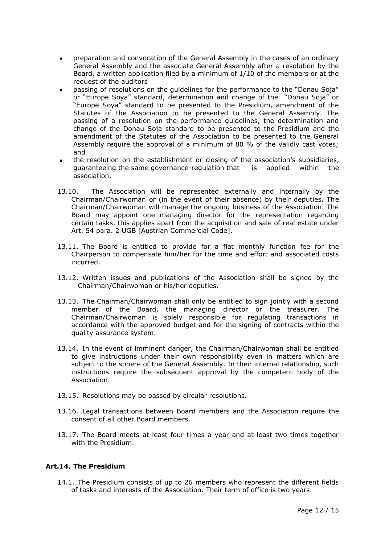- preparation and convocation of the General Assembly in the cases of an ordinary General Assembly and the associate General Assembly after a resolution by the Board, a written application filed by a minimum of 1/10 of the members or at the request of the auditors
- passing of resolutions on the guidelines for the performance to the "Donau Soja" or "Europe Soya" standard, determination and change of the "Donau Soja" or "Europe Soya" standard to be presented to the Presidium, amendment of the Statutes of the Association to be presented to the General Assembly. The passing of a resolution on the performance guidelines, the determination and change of the Donau Soja standard to be presented to the Presidium and the amendment of the Statutes of the Association to be presented to the General Assembly require the approval of a minimum of 80 % of the validly cast votes; and
- the resolution on the establishment or closing of the association's subsidiaries, guaranteeing the same governance-regulation that is applied within the association.
- 13.10. The Association will be represented externally and internally by the Chairman/Chairwoman or (in the event of their absence) by their deputies. The Chairman/Chairwoman will manage the ongoing business of the Association. The Board may appoint one managing director for the representation regarding certain tasks, this applies apart from the acquisition and sale of real estate under Art. 54 para. 2 UGB [Austrian Commercial Code].
- 13.11. The Board is entitled to provide for a flat monthly function fee for the Chairperson to compensate him/her for the time and effort and associated costs incurred.
- 13.12. Written issues and publications of the Association shall be signed by the Chairman/Chairwoman or his/her deputies.
- 13.13. The Chairman/Chairwoman shall only be entitled to sign jointly with a second member of the Board, the managing director or the treasurer. The Chairman/Chairwoman is solely responsible for regulating transactions in accordance with the approved budget and for the signing of contracts within the quality assurance system.
- 13.14. In the event of imminent danger, the Chairman/Chairwoman shall be entitled to give instructions under their own responsibility even in matters which are subject to the sphere of the General Assembly. In their internal relationship, such instructions require the subsequent approval by the competent body of the Association.
- 13.15. Resolutions may be passed by circular resolutions.
- 13.16. Legal transactions between Board members and the Association require the consent of all other Board members.
- 13.17. The Board meets at least four times a year and at least two times together with the Presidium.

#### **Art.14. The Presidium**

14.1. The Presidium consists of up to 26 members who represent the different fields of tasks and interests of the Association. Their term of office is two years.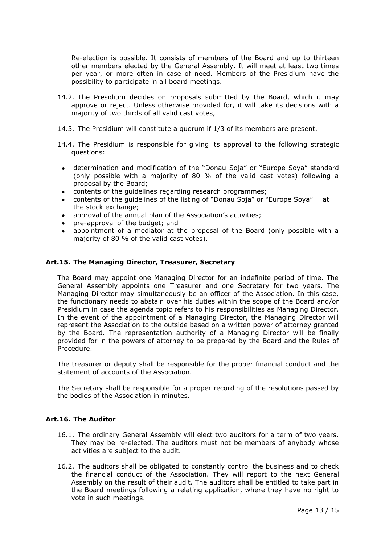Re-election is possible. It consists of members of the Board and up to thirteen other members elected by the General Assembly. It will meet at least two times per year, or more often in case of need. Members of the Presidium have the possibility to participate in all board meetings.

- 14.2. The Presidium decides on proposals submitted by the Board, which it may approve or reject. Unless otherwise provided for, it will take its decisions with a majority of two thirds of all valid cast votes,
- 14.3. The Presidium will constitute a quorum if 1/3 of its members are present.
- 14.4. The Presidium is responsible for giving its approval to the following strategic questions:
- determination and modification of the "Donau Soja" or "Europe Soya" standard (only possible with a majority of 80 % of the valid cast votes) following a proposal by the Board;
- contents of the guidelines regarding research programmes;
- contents of the guidelines of the listing of "Donau Soja" or "Europe Soya" at the stock exchange;
- approval of the annual plan of the Association's activities;
- pre-approval of the budget; and
- appointment of a mediator at the proposal of the Board (only possible with a majority of 80 % of the valid cast votes).

### **Art.15. The Managing Director, Treasurer, Secretary**

The Board may appoint one Managing Director for an indefinite period of time. The General Assembly appoints one Treasurer and one Secretary for two years. The Managing Director may simultaneously be an officer of the Association. In this case, the functionary needs to abstain over his duties within the scope of the Board and/or Presidium in case the agenda topic refers to his responsibilities as Managing Director. In the event of the appointment of a Managing Director, the Managing Director will represent the Association to the outside based on a written power of attorney granted by the Board. The representation authority of a Managing Director will be finally provided for in the powers of attorney to be prepared by the Board and the Rules of Procedure.

The treasurer or deputy shall be responsible for the proper financial conduct and the statement of accounts of the Association.

The Secretary shall be responsible for a proper recording of the resolutions passed by the bodies of the Association in minutes.

# **Art.16. The Auditor**

- 16.1. The ordinary General Assembly will elect two auditors for a term of two years. They may be re-elected. The auditors must not be members of anybody whose activities are subject to the audit.
- 16.2. The auditors shall be obligated to constantly control the business and to check the financial conduct of the Association. They will report to the next General Assembly on the result of their audit. The auditors shall be entitled to take part in the Board meetings following a relating application, where they have no right to vote in such meetings.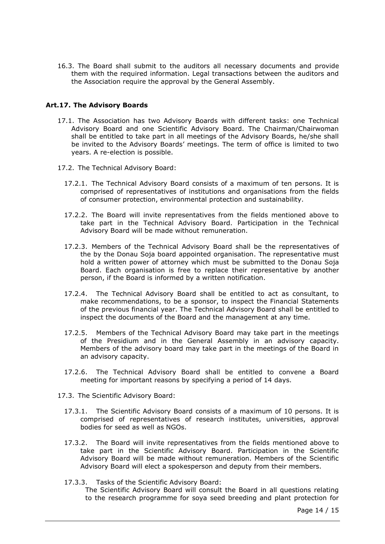16.3. The Board shall submit to the auditors all necessary documents and provide them with the required information. Legal transactions between the auditors and the Association require the approval by the General Assembly.

### **Art.17. The Advisory Boards**

- 17.1. The Association has two Advisory Boards with different tasks: one Technical Advisory Board and one Scientific Advisory Board. The Chairman/Chairwoman shall be entitled to take part in all meetings of the Advisory Boards, he/she shall be invited to the Advisory Boards' meetings. The term of office is limited to two years. A re-election is possible.
- 17.2. The Technical Advisory Board:
	- 17.2.1. The Technical Advisory Board consists of a maximum of ten persons. It is comprised of representatives of institutions and organisations from the fields of consumer protection, environmental protection and sustainability.
	- 17.2.2. The Board will invite representatives from the fields mentioned above to take part in the Technical Advisory Board. Participation in the Technical Advisory Board will be made without remuneration.
	- 17.2.3. Members of the Technical Advisory Board shall be the representatives of the by the Donau Soja board appointed organisation. The representative must hold a written power of attorney which must be submitted to the Donau Soja Board. Each organisation is free to replace their representative by another person, if the Board is informed by a written notification.
	- 17.2.4. The Technical Advisory Board shall be entitled to act as consultant, to make recommendations, to be a sponsor, to inspect the Financial Statements of the previous financial year. The Technical Advisory Board shall be entitled to inspect the documents of the Board and the management at any time.
	- 17.2.5. Members of the Technical Advisory Board may take part in the meetings of the Presidium and in the General Assembly in an advisory capacity. Members of the advisory board may take part in the meetings of the Board in an advisory capacity.
	- 17.2.6. The Technical Advisory Board shall be entitled to convene a Board meeting for important reasons by specifying a period of 14 days.
- 17.3. The Scientific Advisory Board:
	- 17.3.1. The Scientific Advisory Board consists of a maximum of 10 persons. It is comprised of representatives of research institutes, universities, approval bodies for seed as well as NGOs.
	- 17.3.2. The Board will invite representatives from the fields mentioned above to take part in the Scientific Advisory Board. Participation in the Scientific Advisory Board will be made without remuneration. Members of the Scientific Advisory Board will elect a spokesperson and deputy from their members.
	- 17.3.3. Tasks of the Scientific Advisory Board: The Scientific Advisory Board will consult the Board in all questions relating to the research programme for soya seed breeding and plant protection for